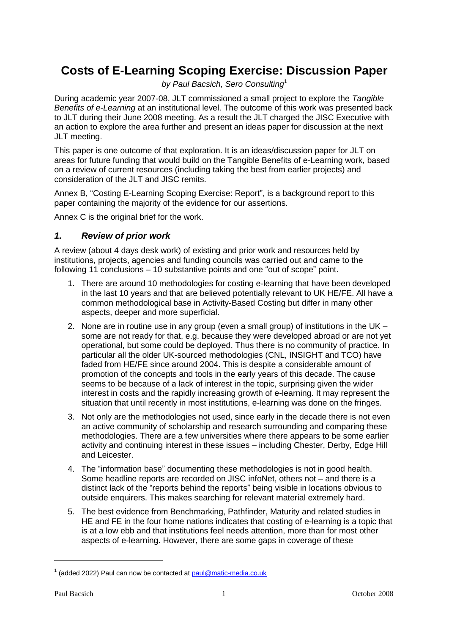# **Costs of E-Learning Scoping Exercise: Discussion Paper**

*by Paul Bacsich, Sero Consulting*<sup>1</sup>

During academic year 2007-08, JLT commissioned a small project to explore the *Tangible Benefits of e-Learning* at an institutional level. The outcome of this work was presented back to JLT during their June 2008 meeting. As a result the JLT charged the JISC Executive with an action to explore the area further and present an ideas paper for discussion at the next JLT meeting.

This paper is one outcome of that exploration. It is an ideas/discussion paper for JLT on areas for future funding that would build on the Tangible Benefits of e-Learning work, based on a review of current resources (including taking the best from earlier projects) and consideration of the JLT and JISC remits.

Annex B, "Costing E-Learning Scoping Exercise: Report", is a background report to this paper containing the majority of the evidence for our assertions.

Annex C is the original brief for the work.

#### *1. Review of prior work*

A review (about 4 days desk work) of existing and prior work and resources held by institutions, projects, agencies and funding councils was carried out and came to the following 11 conclusions – 10 substantive points and one "out of scope" point.

- 1. There are around 10 methodologies for costing e-learning that have been developed in the last 10 years and that are believed potentially relevant to UK HE/FE. All have a common methodological base in Activity-Based Costing but differ in many other aspects, deeper and more superficial.
- 2. None are in routine use in any group (even a small group) of institutions in the UK some are not ready for that, e.g. because they were developed abroad or are not yet operational, but some could be deployed. Thus there is no community of practice. In particular all the older UK-sourced methodologies (CNL, INSIGHT and TCO) have faded from HE/FE since around 2004. This is despite a considerable amount of promotion of the concepts and tools in the early years of this decade. The cause seems to be because of a lack of interest in the topic, surprising given the wider interest in costs and the rapidly increasing growth of e-learning. It may represent the situation that until recently in most institutions, e-learning was done on the fringes.
- 3. Not only are the methodologies not used, since early in the decade there is not even an active community of scholarship and research surrounding and comparing these methodologies. There are a few universities where there appears to be some earlier activity and continuing interest in these issues – including Chester, Derby, Edge Hill and Leicester.
- 4. The "information base" documenting these methodologies is not in good health. Some headline reports are recorded on JISC infoNet, others not – and there is a distinct lack of the "reports behind the reports" being visible in locations obvious to outside enquirers. This makes searching for relevant material extremely hard.
- 5. The best evidence from Benchmarking, Pathfinder, Maturity and related studies in HE and FE in the four home nations indicates that costing of e-learning is a topic that is at a low ebb and that institutions feel needs attention, more than for most other aspects of e-learning. However, there are some gaps in coverage of these

<sup>&</sup>lt;sup>1</sup> (added 2022) Paul can now be contacted at [paul@matic-media.co.uk](mailto:paul@matic-media.co.uk)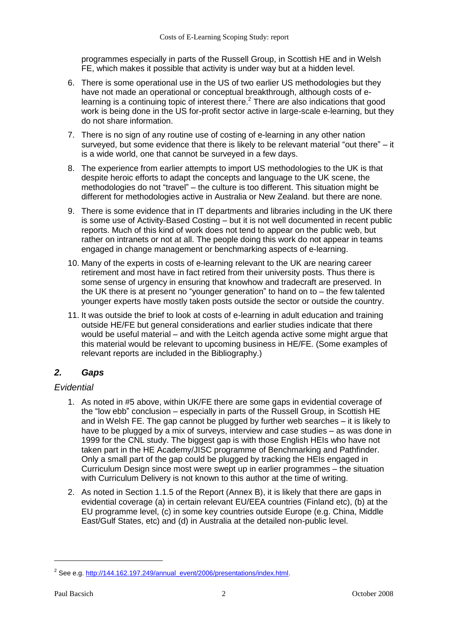programmes especially in parts of the Russell Group, in Scottish HE and in Welsh FE, which makes it possible that activity is under way but at a hidden level.

- 6. There is some operational use in the US of two earlier US methodologies but they have not made an operational or conceptual breakthrough, although costs of elearning is a continuing topic of interest there.<sup>2</sup> There are also indications that good work is being done in the US for-profit sector active in large-scale e-learning, but they do not share information.
- 7. There is no sign of any routine use of costing of e-learning in any other nation surveyed, but some evidence that there is likely to be relevant material "out there" – it is a wide world, one that cannot be surveyed in a few days.
- 8. The experience from earlier attempts to import US methodologies to the UK is that despite heroic efforts to adapt the concepts and language to the UK scene, the methodologies do not "travel" – the culture is too different. This situation might be different for methodologies active in Australia or New Zealand. but there are none.
- 9. There is some evidence that in IT departments and libraries including in the UK there is some use of Activity-Based Costing – but it is not well documented in recent public reports. Much of this kind of work does not tend to appear on the public web, but rather on intranets or not at all. The people doing this work do not appear in teams engaged in change management or benchmarking aspects of e-learning.
- 10. Many of the experts in costs of e-learning relevant to the UK are nearing career retirement and most have in fact retired from their university posts. Thus there is some sense of urgency in ensuring that knowhow and tradecraft are preserved. In the UK there is at present no "younger generation" to hand on to – the few talented younger experts have mostly taken posts outside the sector or outside the country.
- 11. It was outside the brief to look at costs of e-learning in adult education and training outside HE/FE but general considerations and earlier studies indicate that there would be useful material – and with the Leitch agenda active some might argue that this material would be relevant to upcoming business in HE/FE. (Some examples of relevant reports are included in the Bibliography.)

## *2. Gaps*

## *Evidential*

- 1. As noted in #5 above, within UK/FE there are some gaps in evidential coverage of the "low ebb" conclusion – especially in parts of the Russell Group, in Scottish HE and in Welsh FE. The gap cannot be plugged by further web searches – it is likely to have to be plugged by a mix of surveys, interview and case studies – as was done in 1999 for the CNL study. The biggest gap is with those English HEIs who have not taken part in the HE Academy/JISC programme of Benchmarking and Pathfinder. Only a small part of the gap could be plugged by tracking the HEIs engaged in Curriculum Design since most were swept up in earlier programmes – the situation with Curriculum Delivery is not known to this author at the time of writing.
- 2. As noted in Section 1.1.5 of the Report (Annex B), it is likely that there are gaps in evidential coverage (a) in certain relevant EU/EEA countries (Finland etc), (b) at the EU programme level, (c) in some key countries outside Europe (e.g. China, Middle East/Gulf States, etc) and (d) in Australia at the detailed non-public level.

<sup>&</sup>lt;sup>2</sup> See e.g. [http://144.162.197.249/annual\\_event/2006/presentations/index.html.](http://144.162.197.249/annual_event/2006/presentations/index.html)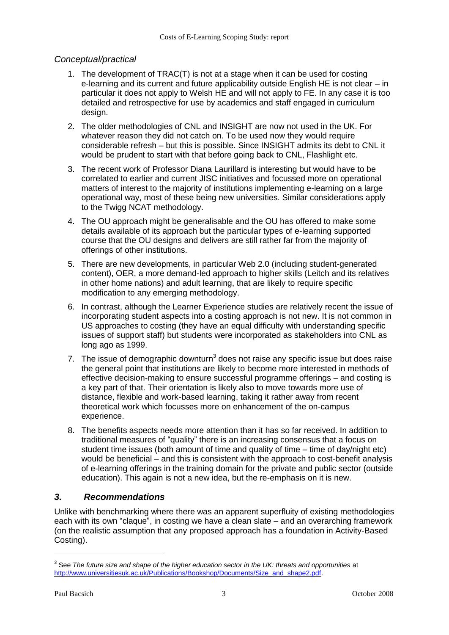#### *Conceptual/practical*

- 1. The development of TRAC(T) is not at a stage when it can be used for costing e-learning and its current and future applicability outside English HE is not clear – in particular it does not apply to Welsh HE and will not apply to FE. In any case it is too detailed and retrospective for use by academics and staff engaged in curriculum design.
- 2. The older methodologies of CNL and INSIGHT are now not used in the UK. For whatever reason they did not catch on. To be used now they would require considerable refresh – but this is possible. Since INSIGHT admits its debt to CNL it would be prudent to start with that before going back to CNL, Flashlight etc.
- 3. The recent work of Professor Diana Laurillard is interesting but would have to be correlated to earlier and current JISC initiatives and focussed more on operational matters of interest to the majority of institutions implementing e-learning on a large operational way, most of these being new universities. Similar considerations apply to the Twigg NCAT methodology.
- 4. The OU approach might be generalisable and the OU has offered to make some details available of its approach but the particular types of e-learning supported course that the OU designs and delivers are still rather far from the majority of offerings of other institutions.
- 5. There are new developments, in particular Web 2.0 (including student-generated content), OER, a more demand-led approach to higher skills (Leitch and its relatives in other home nations) and adult learning, that are likely to require specific modification to any emerging methodology.
- 6. In contrast, although the Learner Experience studies are relatively recent the issue of incorporating student aspects into a costing approach is not new. It is not common in US approaches to costing (they have an equal difficulty with understanding specific issues of support staff) but students were incorporated as stakeholders into CNL as long ago as 1999.
- 7. The issue of demographic downturn<sup>3</sup> does not raise any specific issue but does raise the general point that institutions are likely to become more interested in methods of effective decision-making to ensure successful programme offerings – and costing is a key part of that. Their orientation is likely also to move towards more use of distance, flexible and work-based learning, taking it rather away from recent theoretical work which focusses more on enhancement of the on-campus experience.
- 8. The benefits aspects needs more attention than it has so far received. In addition to traditional measures of "quality" there is an increasing consensus that a focus on student time issues (both amount of time and quality of time – time of day/night etc) would be beneficial – and this is consistent with the approach to cost-benefit analysis of e-learning offerings in the training domain for the private and public sector (outside education). This again is not a new idea, but the re-emphasis on it is new.

## *3. Recommendations*

Unlike with benchmarking where there was an apparent superfluity of existing methodologies each with its own "claque", in costing we have a clean slate – and an overarching framework (on the realistic assumption that any proposed approach has a foundation in Activity-Based Costing).

<sup>&</sup>lt;sup>3</sup> See *The future size and shape of the higher education sector in the UK: threats and opportunities at* [http://www.universitiesuk.ac.uk/Publications/Bookshop/Documents/Size\\_and\\_shape2.pdf.](http://www.universitiesuk.ac.uk/Publications/Bookshop/Documents/Size_and_shape2.pdf)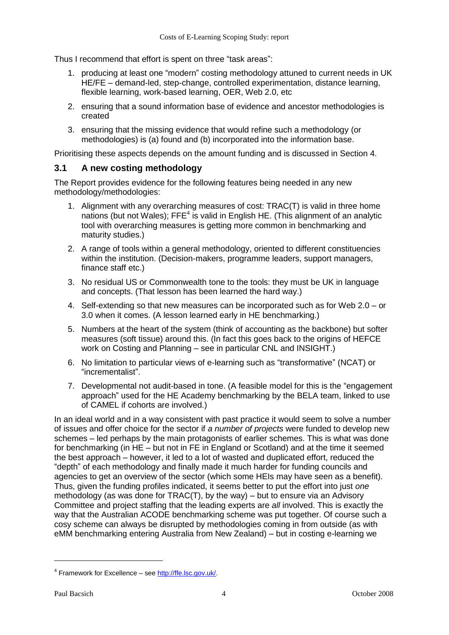Thus I recommend that effort is spent on three "task areas":

- 1. producing at least one "modern" costing methodology attuned to current needs in UK HE/FE – demand-led, step-change, controlled experimentation, distance learning, flexible learning, work-based learning, OER, Web 2.0, etc
- 2. ensuring that a sound information base of evidence and ancestor methodologies is created
- 3. ensuring that the missing evidence that would refine such a methodology (or methodologies) is (a) found and (b) incorporated into the information base.

Prioritising these aspects depends on the amount funding and is discussed in Section 4.

#### **3.1 A new costing methodology**

The Report provides evidence for the following features being needed in any new methodology/methodologies:

- 1. Alignment with any overarching measures of cost: TRAC(T) is valid in three home nations (but not Wales);  $\mathsf{FFE}^4$  is valid in English HE. (This alignment of an analytic tool with overarching measures is getting more common in benchmarking and maturity studies.)
- 2. A range of tools within a general methodology, oriented to different constituencies within the institution. (Decision-makers, programme leaders, support managers, finance staff etc.)
- 3. No residual US or Commonwealth tone to the tools: they must be UK in language and concepts. (That lesson has been learned the hard way.)
- 4. Self-extending so that new measures can be incorporated such as for Web 2.0 or 3.0 when it comes. (A lesson learned early in HE benchmarking.)
- 5. Numbers at the heart of the system (think of accounting as the backbone) but softer measures (soft tissue) around this. (In fact this goes back to the origins of HEFCE work on Costing and Planning – see in particular CNL and INSIGHT.)
- 6. No limitation to particular views of e-learning such as "transformative" (NCAT) or "incrementalist".
- 7. Developmental not audit-based in tone. (A feasible model for this is the "engagement approach" used for the HE Academy benchmarking by the BELA team, linked to use of CAMEL if cohorts are involved.)

In an ideal world and in a way consistent with past practice it would seem to solve a number of issues and offer choice for the sector if *a number of projects* were funded to develop new schemes – led perhaps by the main protagonists of earlier schemes. This is what was done for benchmarking (in HE – but not in FE in England or Scotland) and at the time it seemed the best approach – however, it led to a lot of wasted and duplicated effort, reduced the "depth" of each methodology and finally made it much harder for funding councils and agencies to get an overview of the sector (which some HEIs may have seen as a benefit). Thus, given the funding profiles indicated, it seems better to put the effort into just *one* methodology (as was done for TRAC(T), by the way) – but to ensure via an Advisory Committee and project staffing that the leading experts are *all* involved. This is exactly the way that the Australian ACODE benchmarking scheme was put together. Of course such a cosy scheme can always be disrupted by methodologies coming in from outside (as with eMM benchmarking entering Australia from New Zealand) – but in costing e-learning we

<sup>&</sup>lt;sup>4</sup> Framework for Excellence – see [http://ffe.lsc.gov.uk/.](http://ffe.lsc.gov.uk/)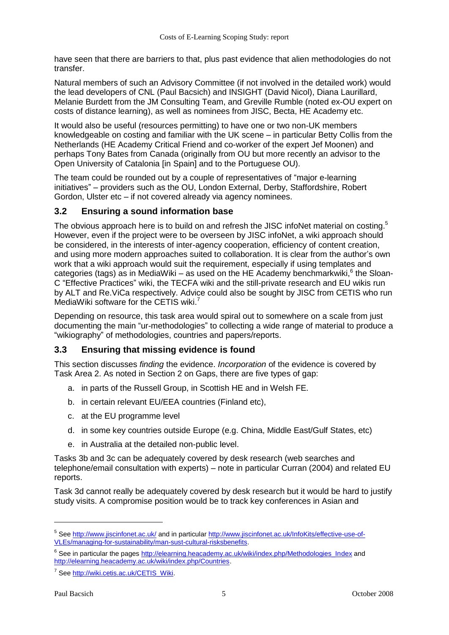have seen that there are barriers to that, plus past evidence that alien methodologies do not transfer.

Natural members of such an Advisory Committee (if not involved in the detailed work) would the lead developers of CNL (Paul Bacsich) and INSIGHT (David Nicol), Diana Laurillard, Melanie Burdett from the JM Consulting Team, and Greville Rumble (noted ex-OU expert on costs of distance learning), as well as nominees from JISC, Becta, HE Academy etc.

It would also be useful (resources permitting) to have one or two non-UK members knowledgeable on costing and familiar with the UK scene – in particular Betty Collis from the Netherlands (HE Academy Critical Friend and co-worker of the expert Jef Moonen) and perhaps Tony Bates from Canada (originally from OU but more recently an advisor to the Open University of Catalonia [in Spain] and to the Portuguese OU).

The team could be rounded out by a couple of representatives of "major e-learning initiatives" – providers such as the OU, London External, Derby, Staffordshire, Robert Gordon, Ulster etc – if not covered already via agency nominees.

#### **3.2 Ensuring a sound information base**

The obvious approach here is to build on and refresh the JISC infoNet material on costing.<sup>5</sup> However, even if the project were to be overseen by JISC infoNet, a wiki approach should be considered, in the interests of inter-agency cooperation, efficiency of content creation, and using more modern approaches suited to collaboration. It is clear from the author's own work that a wiki approach would suit the requirement, especially if using templates and categories (tags) as in MediaWiki – as used on the HE Academy benchmarkwiki, $6$  the Sloan-C "Effective Practices" wiki, the TECFA wiki and the still-private research and EU wikis run by ALT and Re.ViCa respectively. Advice could also be sought by JISC from CETIS who run MediaWiki software for the CETIS wiki.<sup>7</sup>

Depending on resource, this task area would spiral out to somewhere on a scale from just documenting the main "ur-methodologies" to collecting a wide range of material to produce a "wikiography" of methodologies, countries and papers/reports.

## **3.3 Ensuring that missing evidence is found**

This section discusses *finding* the evidence. *Incorporation* of the evidence is covered by Task Area 2. As noted in Section 2 on Gaps, there are five types of gap:

- a. in parts of the Russell Group, in Scottish HE and in Welsh FE.
- b. in certain relevant EU/EEA countries (Finland etc),
- c. at the EU programme level
- d. in some key countries outside Europe (e.g. China, Middle East/Gulf States, etc)
- e. in Australia at the detailed non-public level.

Tasks 3b and 3c can be adequately covered by desk research (web searches and telephone/email consultation with experts) – note in particular Curran (2004) and related EU reports.

Task 3d cannot really be adequately covered by desk research but it would be hard to justify study visits. A compromise position would be to track key conferences in Asian and

<sup>&</sup>lt;sup>5</sup> See<http://www.jiscinfonet.ac.uk/> and in particula[r http://www.jiscinfonet.ac.uk/InfoKits/effective-use-of-](http://www.jiscinfonet.ac.uk/InfoKits/effective-use-of-VLEs/managing-for-sustainability/man-sust-cultural-risksbenefits)[VLEs/managing-for-sustainability/man-sust-cultural-risksbenefits.](http://www.jiscinfonet.ac.uk/InfoKits/effective-use-of-VLEs/managing-for-sustainability/man-sust-cultural-risksbenefits)

<sup>&</sup>lt;sup>6</sup> See in particular the pages [http://elearning.heacademy.ac.uk/wiki/index.php/Methodologies\\_Index](http://elearning.heacademy.ac.uk/wiki/index.php/Methodologies_Index) and [http://elearning.heacademy.ac.uk/wiki/index.php/Countries.](http://elearning.heacademy.ac.uk/wiki/index.php/Countries)

<sup>&</sup>lt;sup>7</sup> See [http://wiki.cetis.ac.uk/CETIS\\_Wiki.](http://wiki.cetis.ac.uk/CETIS_Wiki)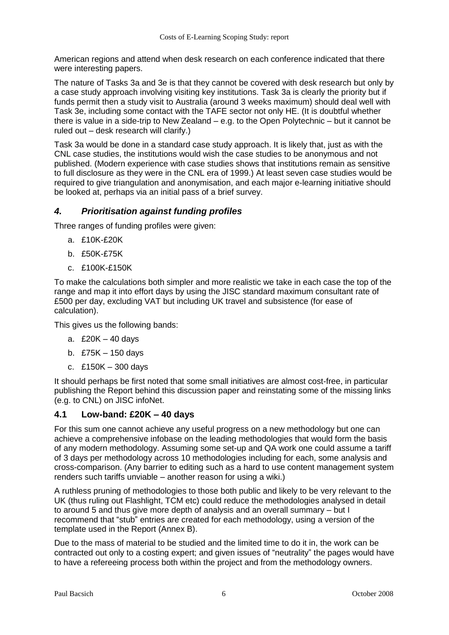American regions and attend when desk research on each conference indicated that there were interesting papers.

The nature of Tasks 3a and 3e is that they cannot be covered with desk research but only by a case study approach involving visiting key institutions. Task 3a is clearly the priority but if funds permit then a study visit to Australia (around 3 weeks maximum) should deal well with Task 3e, including some contact with the TAFE sector not only HE. (It is doubtful whether there is value in a side-trip to New Zealand – e.g. to the Open Polytechnic – but it cannot be ruled out – desk research will clarify.)

Task 3a would be done in a standard case study approach. It is likely that, just as with the CNL case studies, the institutions would wish the case studies to be anonymous and not published. (Modern experience with case studies shows that institutions remain as sensitive to full disclosure as they were in the CNL era of 1999.) At least seven case studies would be required to give triangulation and anonymisation, and each major e-learning initiative should be looked at, perhaps via an initial pass of a brief survey.

## *4. Prioritisation against funding profiles*

Three ranges of funding profiles were given:

- a. £10K-£20K
- b. £50K-£75K
- c. £100K-£150K

To make the calculations both simpler and more realistic we take in each case the top of the range and map it into effort days by using the JISC standard maximum consultant rate of £500 per day, excluding VAT but including UK travel and subsistence (for ease of calculation).

This gives us the following bands:

- a. £20K 40 days
- b. £75K 150 days
- c. £150K 300 days

It should perhaps be first noted that some small initiatives are almost cost-free, in particular publishing the Report behind this discussion paper and reinstating some of the missing links (e.g. to CNL) on JISC infoNet.

## **4.1 Low-band: £20K – 40 days**

For this sum one cannot achieve any useful progress on a new methodology but one can achieve a comprehensive infobase on the leading methodologies that would form the basis of any modern methodology. Assuming some set-up and QA work one could assume a tariff of 3 days per methodology across 10 methodologies including for each, some analysis and cross-comparison. (Any barrier to editing such as a hard to use content management system renders such tariffs unviable – another reason for using a wiki.)

A ruthless pruning of methodologies to those both public and likely to be very relevant to the UK (thus ruling out Flashlight, TCM etc) could reduce the methodologies analysed in detail to around 5 and thus give more depth of analysis and an overall summary – but I recommend that "stub" entries are created for each methodology, using a version of the template used in the Report (Annex B).

Due to the mass of material to be studied and the limited time to do it in, the work can be contracted out only to a costing expert; and given issues of "neutrality" the pages would have to have a refereeing process both within the project and from the methodology owners.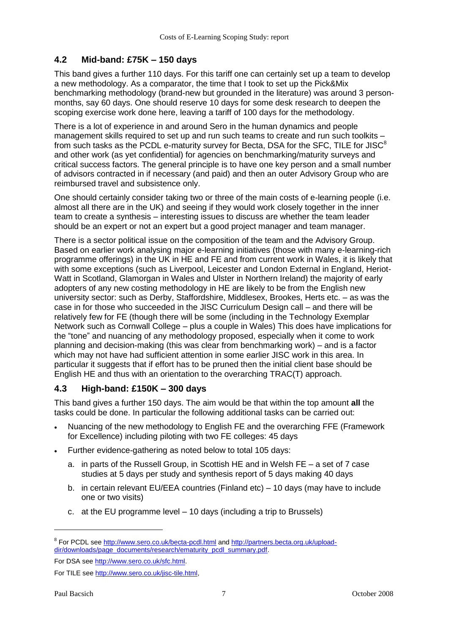## **4.2 Mid-band: £75K – 150 days**

This band gives a further 110 days. For this tariff one can certainly set up a team to develop a new methodology. As a comparator, the time that I took to set up the Pick&Mix benchmarking methodology (brand-new but grounded in the literature) was around 3 personmonths, say 60 days. One should reserve 10 days for some desk research to deepen the scoping exercise work done here, leaving a tariff of 100 days for the methodology.

There is a lot of experience in and around Sero in the human dynamics and people management skills required to set up and run such teams to create and run such toolkits – from such tasks as the PCDL e-maturity survey for Becta, DSA for the SFC, TILE for JISC<sup>8</sup> and other work (as yet confidential) for agencies on benchmarking/maturity surveys and critical success factors. The general principle is to have one key person and a small number of advisors contracted in if necessary (and paid) and then an outer Advisory Group who are reimbursed travel and subsistence only.

One should certainly consider taking two or three of the main costs of e-learning people (i.e. almost all there are in the UK) and seeing if they would work closely together in the inner team to create a synthesis – interesting issues to discuss are whether the team leader should be an expert or not an expert but a good project manager and team manager.

There is a sector political issue on the composition of the team and the Advisory Group. Based on earlier work analysing major e-learning initiatives (those with many e-learning-rich programme offerings) in the UK in HE and FE and from current work in Wales, it is likely that with some exceptions (such as Liverpool, Leicester and London External in England, Heriot-Watt in Scotland, Glamorgan in Wales and Ulster in Northern Ireland) the majority of early adopters of any new costing methodology in HE are likely to be from the English new university sector: such as Derby, Staffordshire, Middlesex, Brookes, Herts etc. – as was the case in for those who succeeded in the JISC Curriculum Design call – and there will be relatively few for FE (though there will be some (including in the Technology Exemplar Network such as Cornwall College – plus a couple in Wales) This does have implications for the "tone" and nuancing of any methodology proposed, especially when it come to work planning and decision-making (this was clear from benchmarking work) – and is a factor which may not have had sufficient attention in some earlier JISC work in this area. In particular it suggests that if effort has to be pruned then the initial client base should be English HE and thus with an orientation to the overarching TRAC(T) approach.

## **4.3 High-band: £150K – 300 days**

This band gives a further 150 days. The aim would be that within the top amount **all** the tasks could be done. In particular the following additional tasks can be carried out:

- Nuancing of the new methodology to English FE and the overarching FFE (Framework for Excellence) including piloting with two FE colleges: 45 days
- Further evidence-gathering as noted below to total 105 days:
	- a. in parts of the Russell Group, in Scottish HE and in Welsh FE a set of 7 case studies at 5 days per study and synthesis report of 5 days making 40 days
	- b. in certain relevant EU/EEA countries (Finland etc) 10 days (may have to include one or two visits)
	- c. at the EU programme level 10 days (including a trip to Brussels)

<sup>&</sup>lt;sup>8</sup> For PCDL see<http://www.sero.co.uk/becta-pcdl.html> and [http://partners.becta.org.uk/upload](http://partners.becta.org.uk/upload-dir/downloads/page_documents/research/ematurity_pcdl_summary.pdf)[dir/downloads/page\\_documents/research/ematurity\\_pcdl\\_summary.pdf.](http://partners.becta.org.uk/upload-dir/downloads/page_documents/research/ematurity_pcdl_summary.pdf)

For DSA see [http://www.sero.co.uk/sfc.html.](http://www.sero.co.uk/sfc.html)

For TILE se[e http://www.sero.co.uk/jisc-tile.html,](http://www.sero.co.uk/jisc-tile.html)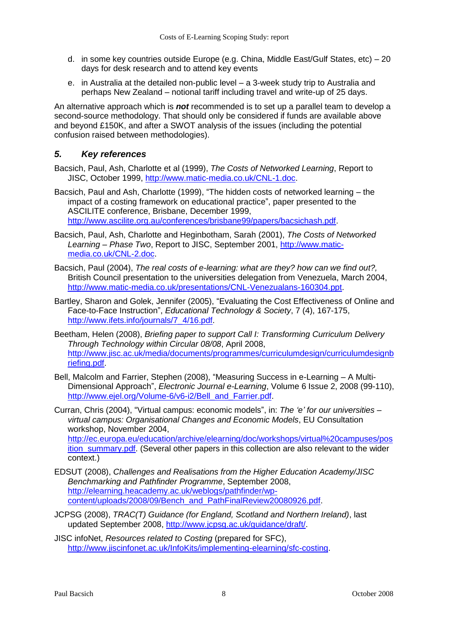- d. in some key countries outside Europe (e.g. China, Middle East/Gulf States, etc) 20 days for desk research and to attend key events
- e. in Australia at the detailed non-public level a 3-week study trip to Australia and perhaps New Zealand – notional tariff including travel and write-up of 25 days.

An alternative approach which is *not* recommended is to set up a parallel team to develop a second-source methodology. That should only be considered if funds are available above and beyond £150K, and after a SWOT analysis of the issues (including the potential confusion raised between methodologies).

#### *5. Key references*

- Bacsich, Paul, Ash, Charlotte et al (1999), *The Costs of Networked Learning*, Report to JISC, October 1999, [http://www.matic-media.co.uk/CNL-1.doc.](http://www.matic-media.co.uk/CNL-1.doc)
- Bacsich, Paul and Ash, Charlotte (1999), "The hidden costs of networked learning the impact of a costing framework on educational practice", paper presented to the ASCILITE conference, Brisbane, December 1999, [http://www.ascilite.org.au/conferences/brisbane99/papers/bacsichash.pdf.](http://www.ascilite.org.au/conferences/brisbane99/papers/bacsichash.pdf)
- Bacsich, Paul, Ash, Charlotte and Heginbotham, Sarah (2001), *The Costs of Networked Learning – Phase Two*, Report to JISC, September 2001, [http://www.matic](http://www.matic-media.co.uk/CNL-2.doc)[media.co.uk/CNL-2.doc.](http://www.matic-media.co.uk/CNL-2.doc)
- Bacsich, Paul (2004), *The real costs of e-learning: what are they? how can we find out?,* British Council presentation to the universities delegation from Venezuela, March 2004, [http://www.matic-media.co.uk/presentations/CNL-Venezualans-160304.ppt.](http://www.matic-media.co.uk/presentations/CNL-Venezualans-160304.ppt)
- Bartley, Sharon and Golek, Jennifer (2005), "Evaluating the Cost Effectiveness of Online and Face-to-Face Instruction", *Educational Technology & Society*, 7 (4), 167-175, [http://www.ifets.info/journals/7\\_4/16.pdf.](http://www.ifets.info/journals/7_4/16.pdf)
- Beetham, Helen (2008), *Briefing paper to support Call I: Transforming Curriculum Delivery Through Technology within Circular 08/08*, April 2008, [http://www.jisc.ac.uk/media/documents/programmes/curriculumdesign/curriculumdesignb](http://www.jisc.ac.uk/media/documents/programmes/curriculumdesign/curriculumdesignbriefing.pdf) [riefing.pdf.](http://www.jisc.ac.uk/media/documents/programmes/curriculumdesign/curriculumdesignbriefing.pdf)
- Bell, Malcolm and Farrier, Stephen (2008), "Measuring Success in e-Learning A Multi-Dimensional Approach", *Electronic Journal e-Learning*, Volume 6 Issue 2, 2008 (99-110), [http://www.ejel.org/Volume-6/v6-i2/Bell\\_and\\_Farrier.pdf.](http://www.ejel.org/Volume-6/v6-i2/Bell_and_Farrier.pdf)
- Curran, Chris (2004), "Virtual campus: economic models", in: *The 'e' for our universities – virtual campus: Organisational Changes and Economic Models*, EU Consultation workshop, November 2004, [http://ec.europa.eu/education/archive/elearning/doc/workshops/virtual%20campuses/pos](http://ec.europa.eu/education/archive/elearning/doc/workshops/virtual%20campuses/position_summary.pdf) ition summary.pdf. (Several other papers in this collection are also relevant to the wider context.)
- EDSUT (2008), *Challenges and Realisations from the Higher Education Academy/JISC Benchmarking and Pathfinder Programme*, September 2008, [http://elearning.heacademy.ac.uk/weblogs/pathfinder/wp](http://elearning.heacademy.ac.uk/weblogs/pathfinder/wp-content/uploads/2008/09/Bench_and_PathFinalReview20080926.pdf)[content/uploads/2008/09/Bench\\_and\\_PathFinalReview20080926.pdf.](http://elearning.heacademy.ac.uk/weblogs/pathfinder/wp-content/uploads/2008/09/Bench_and_PathFinalReview20080926.pdf)
- JCPSG (2008), *TRAC(T) Guidance (for England, Scotland and Northern Ireland)*, last updated September 2008, [http://www.jcpsg.ac.uk/guidance/draft/.](http://www.jcpsg.ac.uk/guidance/draft/)
- JISC infoNet, *Resources related to Costing* (prepared for SFC), [http://www.jiscinfonet.ac.uk/InfoKits/implementing-elearning/sfc-costing.](http://www.jiscinfonet.ac.uk/InfoKits/implementing-elearning/sfc-costing)